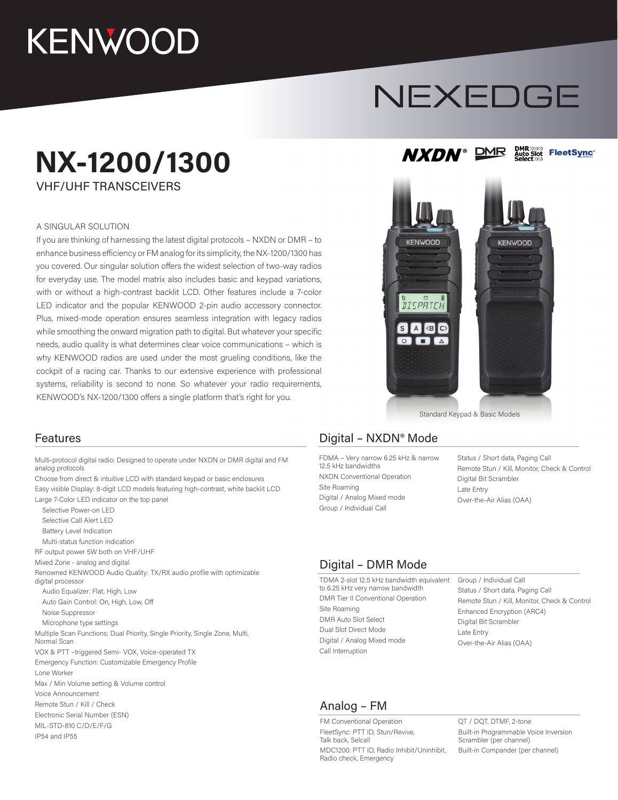## **KENWOOD**

# NEXEDGE

**DMR** 

**NXDN®** 

DMR>>>>>><br>Auto Slot<br>Select>>>>

**FleetSync®** 

### **NX-1200/1300**

VHF/UHF TRANSCEIVERS

#### A SINGULAR SOLUTION

If you are thinking of harnessing the latest digital protocols – NXDN or DMR – to enhance business efficiency or FM analog for its simplicity, the NX-1200/1300 has you covered. Our singular solution offers the widest selection of two-way radios for everyday use. The model matrix also includes basic and keypad variations, with or without a high-contrast backlit LCD. Other features include a 7-color LED indicator and the popular KENWOOD 2-pin audio accessory connector. Plus, mixed-mode operation ensures seamless integration with legacy radios while smoothing the onward migration path to digital. But whatever your specific needs, audio quality is what determines clear voice communications – which is why KENWOOD radios are used under the most grueling conditions, like the cockpit of a racing car. Thanks to our extensive experience with professional systems, reliability is second to none. So whatever your radio requirements, KENWOOD's NX-1200/1300 offers a single platform that's right for you.



Standard Keypad & Basic Models

Multi-protocol digital radio: Designed to operate under NXDN or DMR digital and FM analog protocols

Choose from direct & intuitive LCD with standard keypad or basic enclosures Easy visible Display: 8-digit LCD models featuring high-contrast, white backlit LCD Large 7-Color LED indicator on the top panel

 Selective Power-on LED Selective Call Alert LED Battery Level Indication Multi-status function indication RF output power 5W both on VHF/UHF Mixed Zone - analog and digital Renowned KENWOOD Audio Quality: TX/RX audio profile with optimizable digital processor Audio Equalizer: Flat, High, Low Auto Gain Control: On, High, Low, Off Noise Suppressor Microphone type settings Multiple Scan Functions; Dual Priority, Single Priority, Single Zone, Multi, Normal Scan VOX & PTT –triggered Semi- VOX, Voice-operated TX Emergency Function: Customizable Emergency Profile Lone Worker Max / Min Volume setting & Volume control Voice Announcement Remote Stun / Kill / Check Electronic Serial Number (ESN) MIL-STD-810 C/D/E/F/G IP54 and IP55

#### Features **Digital – NXDN®** Mode

FDMA – Very narrow 6.25 kHz & narrow 12.5 kHz bandwidths NXDN Conventional Operation Site Roaming Digital / Analog Mixed mode Group / Individual Call

Status / Short data, Paging Call Remote Stun / Kill, Monitor, Check & Control Digital Bit Scrambler Late Entry Over-the-Air Alias (OAA)

#### Digital – DMR Mode

TDMA 2-slot 12.5 kHz bandwidth equivalent to 6.25 kHz very narrow bandwidth DMR Tier II Conventional Operation Site Roaming DMR Auto Slot Select Dual Slot Direct Mode Digital / Analog Mixed mode Call Interruption

Group / Individual Call Status / Short data, Paging Call Remote Stun / Kill, Monitor, Check & Control Enhanced Encryption (ARC4) Digital Bit Scrambler Late Entry Over-the-Air Alias (OAA)

#### Analog – FM

FM Conventional Operation FleetSync: PTT ID, Stun/Revive, Talk back, Selcall MDC1200: PTT ID, Radio Inhibit/Uninhibit, Radio check, Emergency

QT / DQT, DTMF, 2-tone Built-in Programmable Voice Inversion Scrambler (per channel) Built-in Compander (per channel)